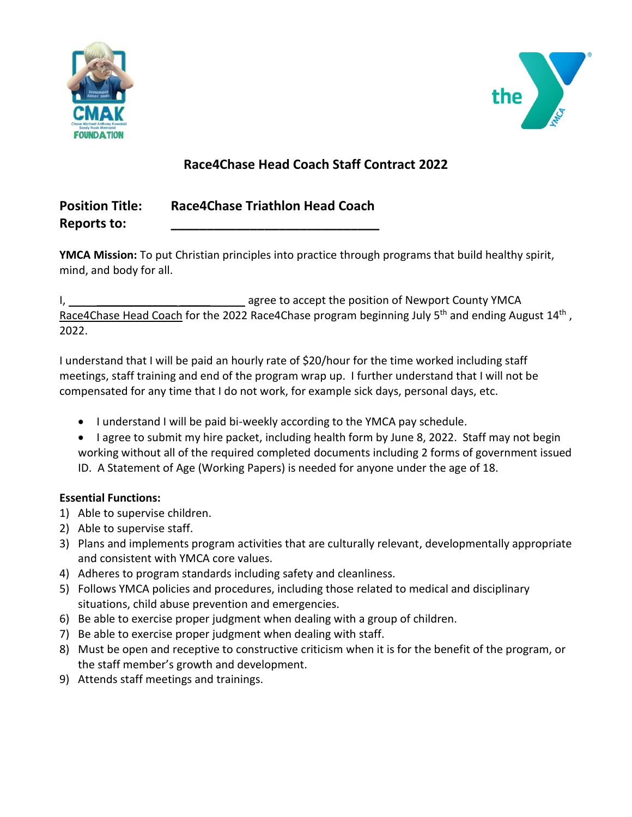



# **Race4Chase Head Coach Staff Contract 2022**

## **Position Title: Race4Chase Triathlon Head Coach Reports to:**

**YMCA Mission:** To put Christian principles into practice through programs that build healthy spirit, mind, and body for all.

I, 1, 1. 2008 The position of Newport County YMCA Race4Chase Head Coach for the 2022 Race4Chase program beginning July 5<sup>th</sup> and ending August 14<sup>th</sup>, 2022.

I understand that I will be paid an hourly rate of \$20/hour for the time worked including staff meetings, staff training and end of the program wrap up. I further understand that I will not be compensated for any time that I do not work, for example sick days, personal days, etc.

• I understand I will be paid bi-weekly according to the YMCA pay schedule.

• I agree to submit my hire packet, including health form by June 8, 2022. Staff may not begin working without all of the required completed documents including 2 forms of government issued ID. A Statement of Age (Working Papers) is needed for anyone under the age of 18.

## **Essential Functions:**

- 1) Able to supervise children.
- 2) Able to supervise staff.
- 3) Plans and implements program activities that are culturally relevant, developmentally appropriate and consistent with YMCA core values.
- 4) Adheres to program standards including safety and cleanliness.
- 5) Follows YMCA policies and procedures, including those related to medical and disciplinary situations, child abuse prevention and emergencies.
- 6) Be able to exercise proper judgment when dealing with a group of children.
- 7) Be able to exercise proper judgment when dealing with staff.
- 8) Must be open and receptive to constructive criticism when it is for the benefit of the program, or the staff member's growth and development.
- 9) Attends staff meetings and trainings.